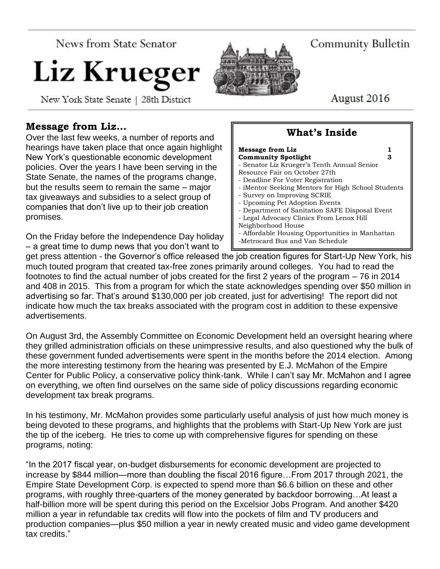News from State Senator

# Liz Krueger

New York State Senate | 28th District

## **Message from Liz…**

Over the last few weeks, a number of reports and hearings have taken place that once again highlight New York's questionable economic development policies. Over the years I have been serving in the State Senate, the names of the programs change, but the results seem to remain the same – major tax giveaways and subsidies to a select group of companies that don't live up to their job creation promises.

On the Friday before the Independence Day holiday – a great time to dump news that you don't want to

Community Bulletin

August 2016

# **What's Inside**

| <b>Message from Liz</b>                            |  |
|----------------------------------------------------|--|
| <b>Community Spotlight</b><br>з                    |  |
| - Senator Liz Krueger's Tenth Annual Senior        |  |
| Resource Fair on October 27th                      |  |
| - Deadline For Voter Registration                  |  |
| - iMentor Seeking Mentors for High School Students |  |
| - Survey on Improving SCRIE                        |  |
| - Upcoming Pet Adoption Events                     |  |
| - Department of Sanitation SAFE Disposal Event     |  |
| - Legal Advocacy Clinics From Lenox Hill           |  |
| Neighborhood House                                 |  |
| - Affordable Housing Opportunities in Manhattan    |  |
| -Metrocard Bus and Van Schedule                    |  |

get press attention - the Governor's office released the job creation figures for Start-Up New York, his much touted program that created tax-free zones primarily around colleges. You had to read the footnotes to find the actual number of jobs created for the first 2 years of the program – 76 in 2014 and 408 in 2015. This from a program for which the state acknowledges spending over \$50 million in advertising so far. That's around \$130,000 per job created, just for advertising! The report did not indicate how much the tax breaks associated with the program cost in addition to these expensive advertisements.

On August 3rd, the Assembly Committee on Economic Development held an oversight hearing where they grilled administration officials on these unimpressive results, and also questioned why the bulk of these government funded advertisements were spent in the months before the 2014 election. Among the more interesting testimony from the hearing was presented by E.J. McMahon of the Empire Center for Public Policy, a conservative policy think-tank. While I can't say Mr. McMahon and I agree on everything, we often find ourselves on the same side of policy discussions regarding economic development tax break programs.

In his testimony, Mr. McMahon provides some particularly useful analysis of just how much money is being devoted to these programs, and highlights that the problems with Start-Up New York are just the tip of the iceberg. He tries to come up with comprehensive figures for spending on these programs, noting:

"In the 2017 fiscal year, on-budget disbursements for economic development are projected to increase by \$844 million—more than doubling the fiscal 2016 figure…From 2017 through 2021, the Empire State Development Corp. is expected to spend more than \$6.6 billion on these and other programs, with roughly three-quarters of the money generated by backdoor borrowing…At least a half-billion more will be spent during this period on the Excelsior Jobs Program. And another \$420 million a year in refundable tax credits will flow into the pockets of film and TV producers and production companies—plus \$50 million a year in newly created music and video game development tax credits."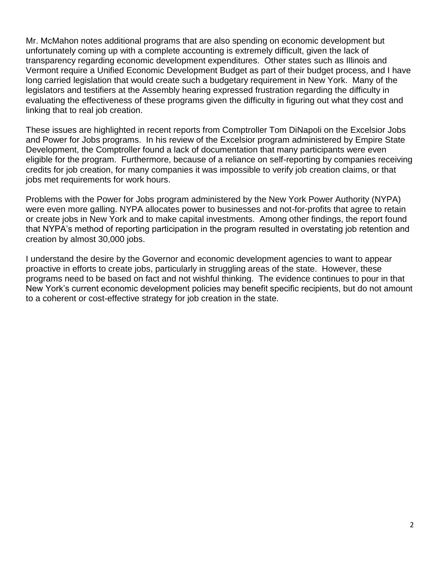Mr. McMahon notes additional programs that are also spending on economic development but unfortunately coming up with a complete accounting is extremely difficult, given the lack of transparency regarding economic development expenditures. Other states such as Illinois and Vermont require a Unified Economic Development Budget as part of their budget process, and I have long carried legislation that would create such a budgetary requirement in New York. Many of the legislators and testifiers at the Assembly hearing expressed frustration regarding the difficulty in evaluating the effectiveness of these programs given the difficulty in figuring out what they cost and linking that to real job creation.

These issues are highlighted in recent reports from Comptroller Tom DiNapoli on the Excelsior Jobs and Power for Jobs programs. In his review of the Excelsior program administered by Empire State Development, the Comptroller found a lack of documentation that many participants were even eligible for the program. Furthermore, because of a reliance on self-reporting by companies receiving credits for job creation, for many companies it was impossible to verify job creation claims, or that jobs met requirements for work hours.

Problems with the Power for Jobs program administered by the New York Power Authority (NYPA) were even more galling. NYPA allocates power to businesses and not-for-profits that agree to retain or create jobs in New York and to make capital investments. Among other findings, the report found that NYPA's method of reporting participation in the program resulted in overstating job retention and creation by almost 30,000 jobs.

I understand the desire by the Governor and economic development agencies to want to appear proactive in efforts to create jobs, particularly in struggling areas of the state. However, these programs need to be based on fact and not wishful thinking. The evidence continues to pour in that New York's current economic development policies may benefit specific recipients, but do not amount to a coherent or cost-effective strategy for job creation in the state.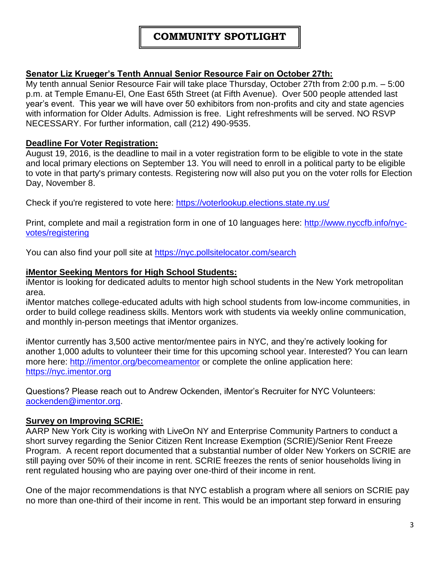## **COMMUNITY SPOTLIGHT**

#### **Senator Liz Krueger's Tenth Annual Senior Resource Fair on October 27th:**

My tenth annual Senior Resource Fair will take place Thursday, October 27th from 2:00 p.m. – 5:00 p.m. at Temple Emanu-El, One East 65th Street (at Fifth Avenue). Over 500 people attended last year's event. This year we will have over 50 exhibitors from non-profits and city and state agencies with information for Older Adults. Admission is free. Light refreshments will be served. NO RSVP NECESSARY. For further information, call (212) 490-9535.

#### **Deadline For Voter Registration:**

August 19, 2016, is the deadline to mail in a voter registration form to be eligible to vote in the state and local primary elections on September 13. You will need to enroll in a political party to be eligible to vote in that party's primary contests. Registering now will also put you on the voter rolls for Election Day, November 8.

Check if you're registered to vote here: <https://voterlookup.elections.state.ny.us/>

Print, complete and mail a registration form in one of 10 languages here: [http://www.nyccfb.info/nyc](http://www.nyccfb.info/nyc-votes/registering)[votes/registering](http://www.nyccfb.info/nyc-votes/registering)

You can also find your poll site at <https://nyc.pollsitelocator.com/search>

#### **iMentor Seeking Mentors for High School Students:**

iMentor is looking for dedicated adults to mentor high school students in the New York metropolitan area.

iMentor matches college-educated adults with high school students from low-income communities, in order to build college readiness skills. Mentors work with students via weekly online communication, and monthly in-person meetings that iMentor organizes.

iMentor currently has 3,500 active mentor/mentee pairs in NYC, and they're actively looking for another 1,000 adults to volunteer their time for this upcoming school year. Interested? You can learn more here:<http://imentor.org/becomeamentor> or complete the online application here: [https://nyc.imentor.org](https://nyc.imentor.org/)

Questions? Please reach out to Andrew Ockenden, iMentor's Recruiter for NYC Volunteers: [aockenden@imentor.org.](mailto:aockenden@imentor.org)

#### **Survey on Improving SCRIE:**

AARP New York City is working with LiveOn NY and Enterprise Community Partners to conduct a short survey regarding the Senior Citizen Rent Increase Exemption (SCRIE)/Senior Rent Freeze Program. A recent report documented that a substantial number of older New Yorkers on SCRIE are still paying over 50% of their income in rent. SCRIE freezes the rents of senior households living in rent regulated housing who are paying over one-third of their income in rent.

One of the major recommendations is that NYC establish a program where all seniors on SCRIE pay no more than one-third of their income in rent. This would be an important step forward in ensuring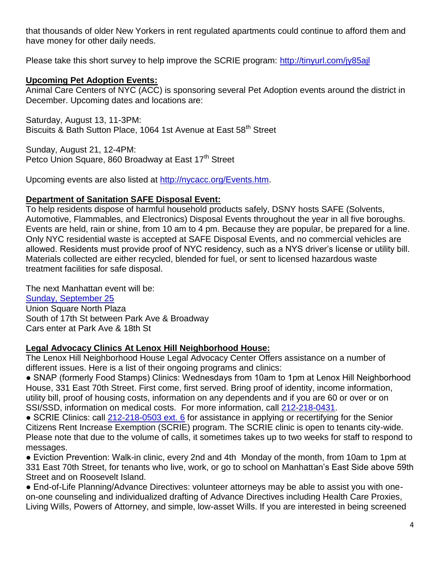that thousands of older New Yorkers in rent regulated apartments could continue to afford them and have money for other daily needs.

Please take this short survey to help improve the SCRIE program:<http://tinyurl.com/jy85ajl>

### **Upcoming Pet Adoption Events:**

Animal Care Centers of NYC (ACC) is sponsoring several Pet Adoption events around the district in December. Upcoming dates and locations are:

Saturday, August 13, 11-3PM: Biscuits & Bath Sutton Place, 1064 1st Avenue at East 58<sup>th</sup> Street

Sunday, August 21, 12-4PM: Petco Union Square, 860 Broadway at East 17<sup>th</sup> Street

Upcoming events are also listed at [http://nycacc.org/Events.htm.](http://nycacc.org/Events.htm)

#### **Department of Sanitation SAFE Disposal Event:**

To help residents dispose of harmful household products safely, DSNY hosts SAFE (Solvents, Automotive, Flammables, and Electronics) Disposal Events throughout the year in all five boroughs. Events are held, rain or shine, from 10 am to 4 pm. Because they are popular, be prepared for a line. Only NYC residential waste is accepted at SAFE Disposal Events, and no commercial vehicles are allowed. Residents must provide proof of NYC residency, such as a NYS driver's license or utility bill. Materials collected are either recycled, blended for fuel, or sent to licensed hazardous waste treatment facilities for safe disposal.

The next Manhattan event will be: [Sunday, September 25](http://www1.nyc.gov/events/nyc-safe-disposal-event---manhattan/30364/1) Union Square North Plaza South of 17th St between Park Ave & Broadway Cars enter at Park Ave & 18th St

#### **Legal Advocacy Clinics At Lenox Hill Neighborhood House:**

The Lenox Hill Neighborhood House Legal Advocacy Center Offers assistance on a number of different issues. Here is a list of their ongoing programs and clinics:

● SNAP (formerly Food Stamps) Clinics: Wednesdays from 10am to 1pm at Lenox Hill Neighborhood House, 331 East 70th Street. First come, first served. Bring proof of identity, income information, utility bill, proof of housing costs, information on any dependents and if you are 60 or over or on SSI/SSD, information on medical costs. For more information, call [212-218-0431.](tel:212-218-0431)

● SCRIE Clinics: call [212-218-0503 ext. 6](tel:212-218-0503%20ext.%206) for assistance in applying or recertifying for the Senior Citizens Rent Increase Exemption (SCRIE) program. The SCRIE clinic is open to tenants city-wide. Please note that due to the volume of calls, it sometimes takes up to two weeks for staff to respond to messages.

● Eviction Prevention: Walk-in clinic, every 2nd and 4th Monday of the month, from 10am to 1pm at 331 East 70th Street, for tenants who live, work, or go to school on Manhattan's East Side above 59th Street and on Roosevelt Island.

● End-of-Life Planning/Advance Directives: volunteer attorneys may be able to assist you with oneon-one counseling and individualized drafting of Advance Directives including Health Care Proxies, Living Wills, Powers of Attorney, and simple, low-asset Wills. If you are interested in being screened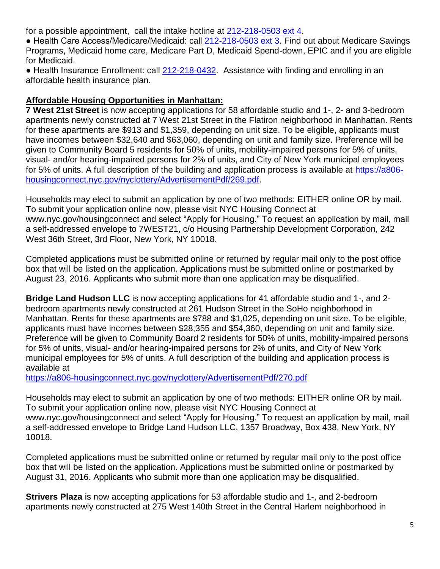for a possible appointment, call the intake hotline at [212-218-0503 ext 4.](tel:212-218-0503%20ext%204)

● Health Care Access/Medicare/Medicaid: call [212-218-0503 ext 3.](tel:212-218-0503%20ext%203) Find out about Medicare Savings Programs, Medicaid home care, Medicare Part D, Medicaid Spend-down, EPIC and if you are eligible for Medicaid.

• Health Insurance Enrollment: call [212-218-0432.](tel:212-218-0432) Assistance with finding and enrolling in an affordable health insurance plan.

#### **Affordable Housing Opportunities in Manhattan:**

**7 West 21st Street** is now accepting applications for 58 affordable studio and 1-, 2- and 3-bedroom apartments newly constructed at 7 West 21st Street in the Flatiron neighborhood in Manhattan. Rents for these apartments are \$913 and \$1,359, depending on unit size. To be eligible, applicants must have incomes between \$32,640 and \$63,060, depending on unit and family size. Preference will be given to Community Board 5 residents for 50% of units, mobility-impaired persons for 5% of units, visual- and/or hearing-impaired persons for 2% of units, and City of New York municipal employees for 5% of units. A full description of the building and application process is available at [https://a806](https://a806-housingconnect.nyc.gov/nyclottery/AdvertisementPdf/269.pdf) [housingconnect.nyc.gov/nyclottery/AdvertisementPdf/269.pdf.](https://a806-housingconnect.nyc.gov/nyclottery/AdvertisementPdf/269.pdf)

Households may elect to submit an application by one of two methods: EITHER online OR by mail. To submit your application online now, please visit NYC Housing Connect at www.nyc.gov/housingconnect and select "Apply for Housing." To request an application by mail, mail a self-addressed envelope to 7WEST21, c/o Housing Partnership Development Corporation, 242 West 36th Street, 3rd Floor, New York, NY 10018.

Completed applications must be submitted online or returned by regular mail only to the post office box that will be listed on the application. Applications must be submitted online or postmarked by August 23, 2016. Applicants who submit more than one application may be disqualified.

**Bridge Land Hudson LLC** is now accepting applications for 41 affordable studio and 1-, and 2 bedroom apartments newly constructed at 261 Hudson Street in the SoHo neighborhood in Manhattan. Rents for these apartments are \$788 and \$1,025, depending on unit size. To be eligible, applicants must have incomes between \$28,355 and \$54,360, depending on unit and family size. Preference will be given to Community Board 2 residents for 50% of units, mobility-impaired persons for 5% of units, visual- and/or hearing-impaired persons for 2% of units, and City of New York municipal employees for 5% of units. A full description of the building and application process is available at

<https://a806-housingconnect.nyc.gov/nyclottery/AdvertisementPdf/270.pdf>

Households may elect to submit an application by one of two methods: EITHER online OR by mail. To submit your application online now, please visit NYC Housing Connect at www.nyc.gov/housingconnect and select "Apply for Housing." To request an application by mail, mail a self-addressed envelope to Bridge Land Hudson LLC, 1357 Broadway, Box 438, New York, NY 10018.

Completed applications must be submitted online or returned by regular mail only to the post office box that will be listed on the application. Applications must be submitted online or postmarked by August 31, 2016. Applicants who submit more than one application may be disqualified.

**Strivers Plaza** is now accepting applications for 53 affordable studio and 1-, and 2-bedroom apartments newly constructed at 275 West 140th Street in the Central Harlem neighborhood in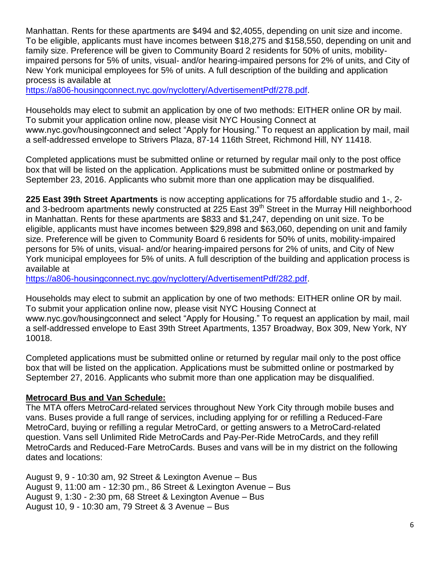Manhattan. Rents for these apartments are \$494 and \$2,4055, depending on unit size and income. To be eligible, applicants must have incomes between \$18,275 and \$158,550, depending on unit and family size. Preference will be given to Community Board 2 residents for 50% of units, mobilityimpaired persons for 5% of units, visual- and/or hearing-impaired persons for 2% of units, and City of New York municipal employees for 5% of units. A full description of the building and application process is available at

[https://a806-housingconnect.nyc.gov/nyclottery/AdvertisementPdf/278.pdf.](https://a806-housingconnect.nyc.gov/nyclottery/AdvertisementPdf/278.pdf)

Households may elect to submit an application by one of two methods: EITHER online OR by mail. To submit your application online now, please visit NYC Housing Connect at www.nyc.gov/housingconnect and select "Apply for Housing." To request an application by mail, mail a self-addressed envelope to Strivers Plaza, 87-14 116th Street, Richmond Hill, NY 11418.

Completed applications must be submitted online or returned by regular mail only to the post office box that will be listed on the application. Applications must be submitted online or postmarked by September 23, 2016. Applicants who submit more than one application may be disqualified.

**225 East 39th Street Apartments** is now accepting applications for 75 affordable studio and 1-, 2 and 3-bedroom apartments newly constructed at 225 East 39<sup>th</sup> Street in the Murray Hill neighborhood in Manhattan. Rents for these apartments are \$833 and \$1,247, depending on unit size. To be eligible, applicants must have incomes between \$29,898 and \$63,060, depending on unit and family size. Preference will be given to Community Board 6 residents for 50% of units, mobility-impaired persons for 5% of units, visual- and/or hearing-impaired persons for 2% of units, and City of New York municipal employees for 5% of units. A full description of the building and application process is available at

[https://a806-housingconnect.nyc.gov/nyclottery/AdvertisementPdf/282.pdf.](https://a806-housingconnect.nyc.gov/nyclottery/AdvertisementPdf/282.pdf)

Households may elect to submit an application by one of two methods: EITHER online OR by mail. To submit your application online now, please visit NYC Housing Connect at www.nyc.gov/housingconnect and select "Apply for Housing." To request an application by mail, mail a self-addressed envelope to East 39th Street Apartments, 1357 Broadway, Box 309, New York, NY 10018.

Completed applications must be submitted online or returned by regular mail only to the post office box that will be listed on the application. Applications must be submitted online or postmarked by September 27, 2016. Applicants who submit more than one application may be disqualified.

## **Metrocard Bus and Van Schedule:**

The MTA offers MetroCard-related services throughout New York City through mobile buses and vans. Buses provide a full range of services, including applying for or refilling a Reduced-Fare MetroCard, buying or refilling a regular MetroCard, or getting answers to a MetroCard-related question. Vans sell Unlimited Ride MetroCards and Pay-Per-Ride MetroCards, and they refill MetroCards and Reduced-Fare MetroCards. Buses and vans will be in my district on the following dates and locations:

August 9, 9 - 10:30 am, 92 Street & Lexington Avenue – Bus August 9, 11:00 am - 12:30 pm., 86 Street & Lexington Avenue – Bus August 9, 1:30 - 2:30 pm, 68 Street & Lexington Avenue – Bus August 10, 9 - 10:30 am, 79 Street & 3 Avenue – Bus